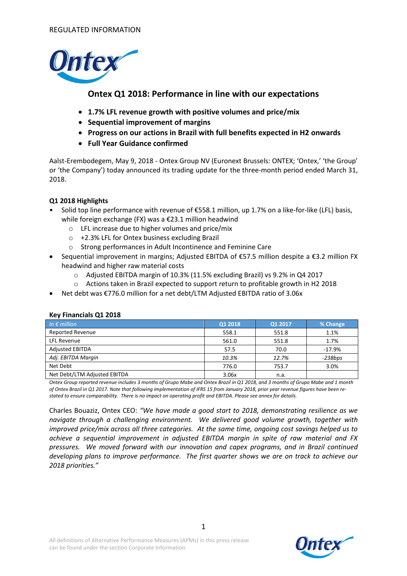

## **Ontex Q1 2018: Performance in line with our expectations**

- **1.7% LFL revenue growth with positive volumes and price/mix**
- **Sequential improvement of margins**
- **Progress on our actions in Brazil with full benefits expected in H2 onwards**
- **Full Year Guidance confirmed**

Aalst-Erembodegem, May 9, 2018 - Ontex Group NV (Euronext Brussels: ONTEX; 'Ontex,' 'the Group' or 'the Company') today announced its trading update for the three-month period ended March 31, 2018.

### **Q1 2018 Highlights**

- Solid top line performance with revenue of €558.1 million, up 1.7% on a like-for-like (LFL) basis, while foreign exchange (FX) was a €23.1 million headwind
	- o LFL increase due to higher volumes and price/mix
	- o +2.3% LFL for Ontex business excluding Brazil
	- o Strong performances in Adult Incontinence and Feminine Care
- Sequential improvement in margins; Adjusted EBITDA of €57.5 million despite a €3.2 million FX headwind and higher raw material costs
	- o Adjusted EBITDA margin of 10.3% (11.5% excluding Brazil) vs 9.2% in Q4 2017
	- o Actions taken in Brazil expected to support return to profitable growth in H2 2018
- Net debt was €776.0 million for a net debt/LTM Adjusted EBITDA ratio of 3.06x

| In $\epsilon$ million        | Q1 2018 | Q1 2017 | % Change  |
|------------------------------|---------|---------|-----------|
| <b>Reported Revenue</b>      | 558.1   | 551.8   | 1.1%      |
| <b>LFL Revenue</b>           | 561.0   | 551.8   | 1.7%      |
| <b>Adjusted EBITDA</b>       | 57.5    | 70.0    | $-17.9%$  |
| Adj. EBITDA Margin           | 10.3%   | 12.7%   | $-238bps$ |
| Net Debt                     | 776.0   | 753.7   | 3.0%      |
| Net Debt/LTM Adjusted EBITDA | 3.06x   | n.a.    |           |

#### **Key Financials Q1 2018**

*Ontex Group reported revenue includes 3 months of Grupo Mabe and Ontex Brazil in Q1 2018, and 3 months of Grupo Mabe and 1 month of Ontex Brazil in Q1 2017. Note that following implementation of IFRS 15 from January 2018, prior year revenue figures have been restated to ensure comparability. There is no impact on operating profit and EBITDA. Please see annex for details.*

Charles Bouaziz, Ontex CEO: *"We have made a good start to 2018, demonstrating resilience as we navigate through a challenging environment. We delivered good volume growth, together with improved price/mix across all three categories. At the same time, ongoing cost savings helped us to achieve a sequential improvement in adjusted EBITDA margin in spite of raw material and FX pressures. We moved forward with our innovation and capex programs, and in Brazil continued developing plans to improve performance. The first quarter shows we are on track to achieve our 2018 priorities."*

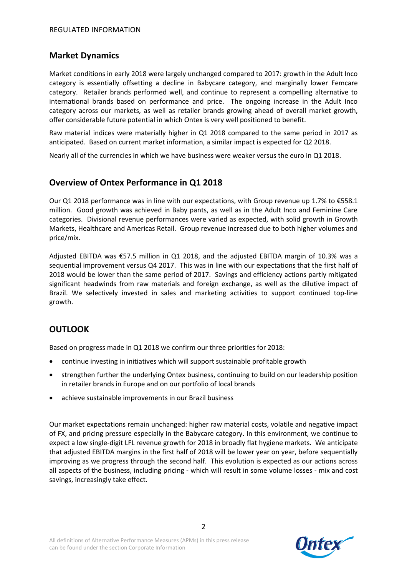## **Market Dynamics**

Market conditions in early 2018 were largely unchanged compared to 2017: growth in the Adult Inco category is essentially offsetting a decline in Babycare category, and marginally lower Femcare category. Retailer brands performed well, and continue to represent a compelling alternative to international brands based on performance and price. The ongoing increase in the Adult Inco category across our markets, as well as retailer brands growing ahead of overall market growth, offer considerable future potential in which Ontex is very well positioned to benefit.

Raw material indices were materially higher in Q1 2018 compared to the same period in 2017 as anticipated. Based on current market information, a similar impact is expected for Q2 2018.

Nearly all of the currencies in which we have business were weaker versus the euro in Q1 2018.

# **Overview of Ontex Performance in Q1 2018**

Our Q1 2018 performance was in line with our expectations, with Group revenue up 1.7% to €558.1 million. Good growth was achieved in Baby pants, as well as in the Adult Inco and Feminine Care categories. Divisional revenue performances were varied as expected, with solid growth in Growth Markets, Healthcare and Americas Retail. Group revenue increased due to both higher volumes and price/mix.

Adjusted EBITDA was €57.5 million in Q1 2018, and the adjusted EBITDA margin of 10.3% was a sequential improvement versus Q4 2017. This was in line with our expectations that the first half of 2018 would be lower than the same period of 2017. Savings and efficiency actions partly mitigated significant headwinds from raw materials and foreign exchange, as well as the dilutive impact of Brazil. We selectively invested in sales and marketing activities to support continued top-line growth.

# **OUTLOOK**

Based on progress made in Q1 2018 we confirm our three priorities for 2018:

- continue investing in initiatives which will support sustainable profitable growth
- strengthen further the underlying Ontex business, continuing to build on our leadership position in retailer brands in Europe and on our portfolio of local brands
- achieve sustainable improvements in our Brazil business

Our market expectations remain unchanged: higher raw material costs, volatile and negative impact of FX, and pricing pressure especially in the Babycare category. In this environment, we continue to expect a low single-digit LFL revenue growth for 2018 in broadly flat hygiene markets. We anticipate that adjusted EBITDA margins in the first half of 2018 will be lower year on year, before sequentially improving as we progress through the second half. This evolution is expected as our actions across all aspects of the business, including pricing - which will result in some volume losses - mix and cost savings, increasingly take effect.

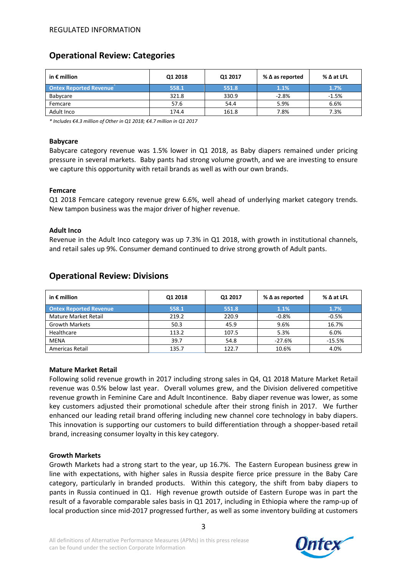# **Operational Review: Categories**

| in $\epsilon$ million         | Q1 2018 | Q1 2017 | % $\Delta$ as reported | $\%$ $\Delta$ at LFL |
|-------------------------------|---------|---------|------------------------|----------------------|
| <b>Ontex Reported Revenue</b> | 558.1   | 551.8   | 1.1%                   | 1.7%                 |
| Babycare                      | 321.8   | 330.9   | $-2.8%$                | $-1.5%$              |
| Femcare                       | 57.6    | 54.4    | 5.9%                   | 6.6%                 |
| Adult Inco                    | 174.4   | 161.8   | 7.8%                   | 7.3%                 |

*\* Includes €4.3 million of Other in Q1 2018; €4.7 million in Q1 2017*

#### **Babycare**

Babycare category revenue was 1.5% lower in Q1 2018, as Baby diapers remained under pricing pressure in several markets. Baby pants had strong volume growth, and we are investing to ensure we capture this opportunity with retail brands as well as with our own brands.

#### **Femcare**

Q1 2018 Femcare category revenue grew 6.6%, well ahead of underlying market category trends. New tampon business was the major driver of higher revenue.

#### **Adult Inco**

Revenue in the Adult Inco category was up 7.3% in Q1 2018, with growth in institutional channels, and retail sales up 9%. Consumer demand continued to drive strong growth of Adult pants.

| in $\epsilon$ million         | Q1 2018 | Q1 2017 | % $\Delta$ as reported | $\%$ $\Delta$ at LFL |
|-------------------------------|---------|---------|------------------------|----------------------|
| <b>Ontex Reported Revenue</b> | 558.1   | 551.8   | 1.1%                   | 1.7%                 |
| <b>Mature Market Retail</b>   | 219.2   | 220.9   | $-0.8%$                | $-0.5%$              |
| <b>Growth Markets</b>         | 50.3    | 45.9    | 9.6%                   | 16.7%                |
| Healthcare                    | 113.2   | 107.5   | 5.3%                   | 6.0%                 |
| <b>MENA</b>                   | 39.7    | 54.8    | $-27.6%$               | $-15.5%$             |
| <b>Americas Retail</b>        | 135.7   | 122.7   | 10.6%                  | 4.0%                 |

### **Operational Review: Divisions**

#### **Mature Market Retail**

Following solid revenue growth in 2017 including strong sales in Q4, Q1 2018 Mature Market Retail revenue was 0.5% below last year. Overall volumes grew, and the Division delivered competitive revenue growth in Feminine Care and Adult Incontinence. Baby diaper revenue was lower, as some key customers adjusted their promotional schedule after their strong finish in 2017. We further enhanced our leading retail brand offering including new channel core technology in baby diapers. This innovation is supporting our customers to build differentiation through a shopper-based retail brand, increasing consumer loyalty in this key category.

#### **Growth Markets**

Growth Markets had a strong start to the year, up 16.7%. The Eastern European business grew in line with expectations, with higher sales in Russia despite fierce price pressure in the Baby Care category, particularly in branded products. Within this category, the shift from baby diapers to pants in Russia continued in Q1. High revenue growth outside of Eastern Europe was in part the result of a favorable comparable sales basis in Q1 2017, including in Ethiopia where the ramp-up of local production since mid-2017 progressed further, as well as some inventory building at customers

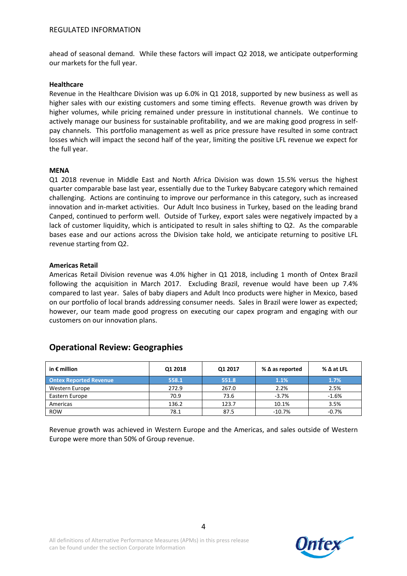ahead of seasonal demand. While these factors will impact Q2 2018, we anticipate outperforming our markets for the full year.

#### **Healthcare**

Revenue in the Healthcare Division was up 6.0% in Q1 2018, supported by new business as well as higher sales with our existing customers and some timing effects. Revenue growth was driven by higher volumes, while pricing remained under pressure in institutional channels. We continue to actively manage our business for sustainable profitability, and we are making good progress in selfpay channels. This portfolio management as well as price pressure have resulted in some contract losses which will impact the second half of the year, limiting the positive LFL revenue we expect for the full year.

#### **MENA**

Q1 2018 revenue in Middle East and North Africa Division was down 15.5% versus the highest quarter comparable base last year, essentially due to the Turkey Babycare category which remained challenging. Actions are continuing to improve our performance in this category, such as increased innovation and in-market activities. Our Adult Inco business in Turkey, based on the leading brand Canped, continued to perform well. Outside of Turkey, export sales were negatively impacted by a lack of customer liquidity, which is anticipated to result in sales shifting to Q2. As the comparable bases ease and our actions across the Division take hold, we anticipate returning to positive LFL revenue starting from Q2.

#### **Americas Retail**

Americas Retail Division revenue was 4.0% higher in Q1 2018, including 1 month of Ontex Brazil following the acquisition in March 2017. Excluding Brazil, revenue would have been up 7.4% compared to last year. Sales of baby diapers and Adult Inco products were higher in Mexico, based on our portfolio of local brands addressing consumer needs. Sales in Brazil were lower as expected; however, our team made good progress on executing our capex program and engaging with our customers on our innovation plans.

| in $\epsilon$ million         | Q1 2018 | Q1 2017 | % $\Delta$ as reported |         |
|-------------------------------|---------|---------|------------------------|---------|
| <b>Ontex Reported Revenue</b> | 558.1   | 551.8   | 1.1%                   | 1.7%    |
| Western Europe                | 272.9   | 267.0   | 2.2%                   | 2.5%    |
| Eastern Europe                | 70.9    | 73.6    | $-3.7%$                | $-1.6%$ |
| Americas                      | 136.2   | 123.7   | 10.1%                  | 3.5%    |
| <b>ROW</b>                    | 78.1    | 87.5    | $-10.7%$               | $-0.7%$ |

### **Operational Review: Geographies**

Revenue growth was achieved in Western Europe and the Americas, and sales outside of Western Europe were more than 50% of Group revenue.

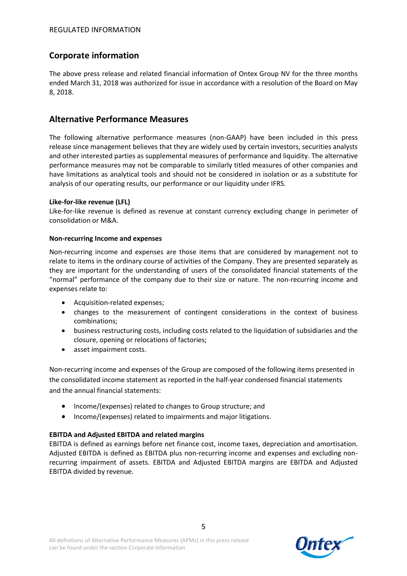# **Corporate information**

The above press release and related financial information of Ontex Group NV for the three months ended March 31, 2018 was authorized for issue in accordance with a resolution of the Board on May 8, 2018.

## **Alternative Performance Measures**

The following alternative performance measures (non-GAAP) have been included in this press release since management believes that they are widely used by certain investors, securities analysts and other interested parties as supplemental measures of performance and liquidity. The alternative performance measures may not be comparable to similarly titled measures of other companies and have limitations as analytical tools and should not be considered in isolation or as a substitute for analysis of our operating results, our performance or our liquidity under IFRS.

#### **Like-for-like revenue (LFL)**

Like-for-like revenue is defined as revenue at constant currency excluding change in perimeter of consolidation or M&A.

#### **Non-recurring Income and expenses**

Non-recurring income and expenses are those items that are considered by management not to relate to items in the ordinary course of activities of the Company. They are presented separately as they are important for the understanding of users of the consolidated financial statements of the "normal" performance of the company due to their size or nature. The non-recurring income and expenses relate to:

- Acquisition-related expenses;
- changes to the measurement of contingent considerations in the context of business combinations;
- business restructuring costs, including costs related to the liquidation of subsidiaries and the closure, opening or relocations of factories;
- asset impairment costs.

Non-recurring income and expenses of the Group are composed of the following items presented in the consolidated income statement as reported in the half-year condensed financial statements and the annual financial statements:

- Income/(expenses) related to changes to Group structure; and
- Income/(expenses) related to impairments and major litigations.

### **EBITDA and Adjusted EBITDA and related margins**

EBITDA is defined as earnings before net finance cost, income taxes, depreciation and amortisation. Adjusted EBITDA is defined as EBITDA plus non-recurring income and expenses and excluding nonrecurring impairment of assets. EBITDA and Adjusted EBITDA margins are EBITDA and Adjusted EBITDA divided by revenue.

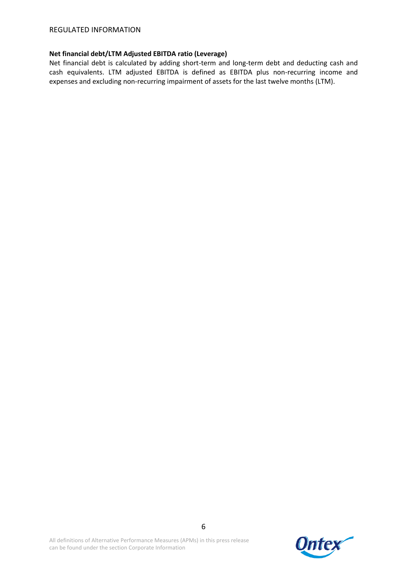#### **Net financial debt/LTM Adjusted EBITDA ratio (Leverage)**

Net financial debt is calculated by adding short-term and long-term debt and deducting cash and cash equivalents. LTM adjusted EBITDA is defined as EBITDA plus non-recurring income and expenses and excluding non-recurring impairment of assets for the last twelve months (LTM).

All definitions of Alternative Performance Measures (APMs) in this press release can be found under the section Corporate Information

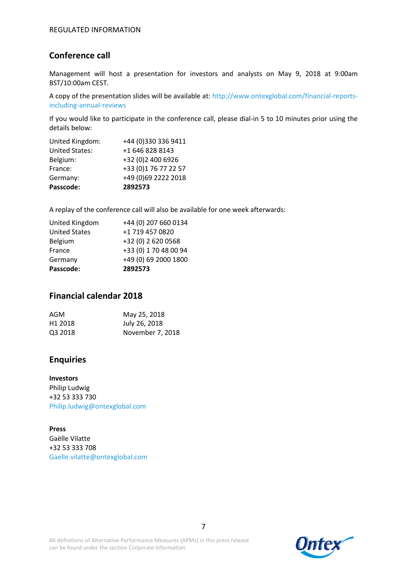## **Conference call**

Management will host a presentation for investors and analysts on May 9, 2018 at 9:00am BST/10:00am CEST.

A copy of the presentation slides will be available at: http://www.ontexglobal.com/financial-reportsincluding-annual-reviews

If you would like to participate in the conference call, please dial-in 5 to 10 minutes prior using the details below:

| Passcode:             | 2892573              |
|-----------------------|----------------------|
| Germany:              | +49 (0)69 2222 2018  |
| France:               | +33 (0)1 76 77 22 57 |
| Belgium:              | +32 (0)2 400 6926    |
| <b>United States:</b> | +1 646 828 8143      |
| United Kingdom:       | +44 (0)330 336 9411  |

A replay of the conference call will also be available for one week afterwards:

| United Kingdom       | +44 (0) 207 660 0134  |
|----------------------|-----------------------|
| <b>United States</b> | +1 719 457 0820       |
| Belgium              | +32 (0) 2 620 0568    |
| France               | +33 (0) 1 70 48 00 94 |
| Germany              | +49 (0) 69 2000 1800  |
| Passcode:            | 2892573               |

### **Financial calendar 2018**

| AGM                 | May 25, 2018     |
|---------------------|------------------|
| H <sub>1</sub> 2018 | July 26, 2018    |
| Q3 2018             | November 7, 2018 |

### **Enquiries**

**Investors** Philip Ludwig +32 53 333 730 Philip.ludwig@ontexglobal.com

**Press** Gaëlle Vilatte +32 53 333 708 Gaelle.vilatte@ontexglobal.com

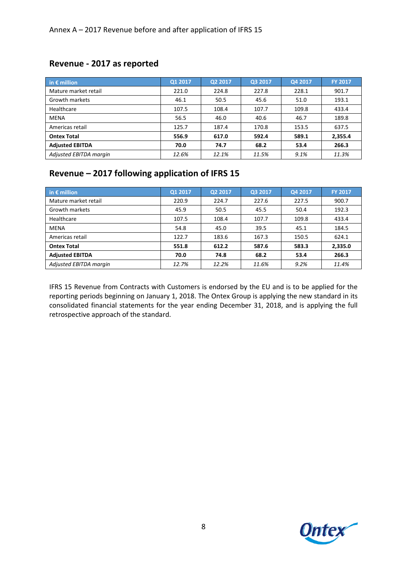## **Revenue - 2017 as reported**

| in $\epsilon$ million  | Q1 2017 | Q2 2017 | Q3 2017 | Q4 2017 | <b>FY 2017</b> |
|------------------------|---------|---------|---------|---------|----------------|
| Mature market retail   | 221.0   | 224.8   | 227.8   | 228.1   | 901.7          |
| Growth markets         | 46.1    | 50.5    | 45.6    | 51.0    | 193.1          |
| Healthcare             | 107.5   | 108.4   | 107.7   | 109.8   | 433.4          |
| <b>MENA</b>            | 56.5    | 46.0    | 40.6    | 46.7    | 189.8          |
| Americas retail        | 125.7   | 187.4   | 170.8   | 153.5   | 637.5          |
| <b>Ontex Total</b>     | 556.9   | 617.0   | 592.4   | 589.1   | 2,355.4        |
| <b>Adjusted EBITDA</b> | 70.0    | 74.7    | 68.2    | 53.4    | 266.3          |
| Adjusted EBITDA margin | 12.6%   | 12.1%   | 11.5%   | 9.1%    | 11.3%          |

# **Revenue – 2017 following application of IFRS 15**

| in $\epsilon$ million  | Q1 2017 | Q2 2017 | Q3 2017 | Q4 2017 | <b>FY 2017</b> |
|------------------------|---------|---------|---------|---------|----------------|
| Mature market retail   | 220.9   | 224.7   | 227.6   | 227.5   | 900.7          |
| Growth markets         | 45.9    | 50.5    | 45.5    | 50.4    | 192.3          |
| Healthcare             | 107.5   | 108.4   | 107.7   | 109.8   | 433.4          |
| <b>MENA</b>            | 54.8    | 45.0    | 39.5    | 45.1    | 184.5          |
| Americas retail        | 122.7   | 183.6   | 167.3   | 150.5   | 624.1          |
| <b>Ontex Total</b>     | 551.8   | 612.2   | 587.6   | 583.3   | 2,335.0        |
| <b>Adjusted EBITDA</b> | 70.0    | 74.8    | 68.2    | 53.4    | 266.3          |
| Adjusted EBITDA margin | 12.7%   | 12.2%   | 11.6%   | 9.2%    | 11.4%          |

IFRS 15 Revenue from Contracts with Customers is endorsed by the EU and is to be applied for the reporting periods beginning on January 1, 2018. The Ontex Group is applying the new standard in its consolidated financial statements for the year ending December 31, 2018, and is applying the full retrospective approach of the standard.